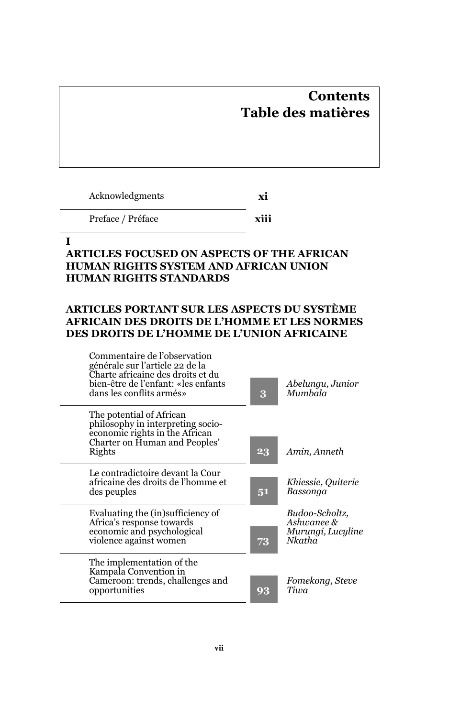# **Contents Table des matières**

Acknowledgments **xi**

Preface / Préface **xiii**

### **I**

# **ARTICLES FOCUSED ON ASPECTS OF THE AFRICAN HUMAN RIGHTS SYSTEM AND AFRICAN UNION HUMAN RIGHTS STANDARDS**

# **ARTICLES PORTANT SUR LES ASPECTS DU SYSTÈME AFRICAIN DES DROITS DE L'HOMME ET LES NORMES DES DROITS DE L'HOMME DE L'UNION AFRICAINE**

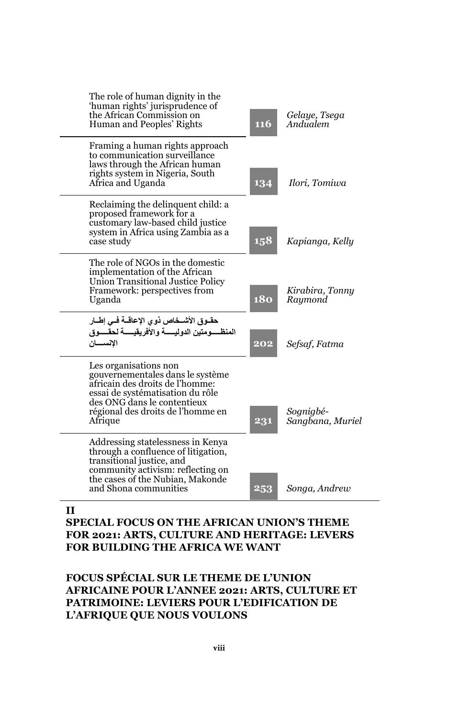| <b>116</b> | Gelaye, Tsega<br>Andualem     |
|------------|-------------------------------|
| 134        | Ilori, Tomiwa                 |
| 158        | Kapianga, Kelly               |
| <b>180</b> | Kirabira, Tonny<br>Raymond    |
| 202        | Sefsaf, Fatma                 |
| 231        | Sognigbé-<br>Sangbana, Muriel |
| 253        | Songa, Andrew                 |
|            |                               |

## **II**

## **SPECIAL FOCUS ON THE AFRICAN UNION'S THEME FOR 2021: ARTS, CULTURE AND HERITAGE: LEVERS FOR BUILDING THE AFRICA WE WANT**

## **FOCUS SPÉCIAL SUR LE THEME DE L'UNION AFRICAINE POUR L'ANNEE 2021: ARTS, CULTURE ET PATRIMOINE: LEVIERS POUR L'EDIFICATION DE L'AFRIQUE QUE NOUS VOULONS**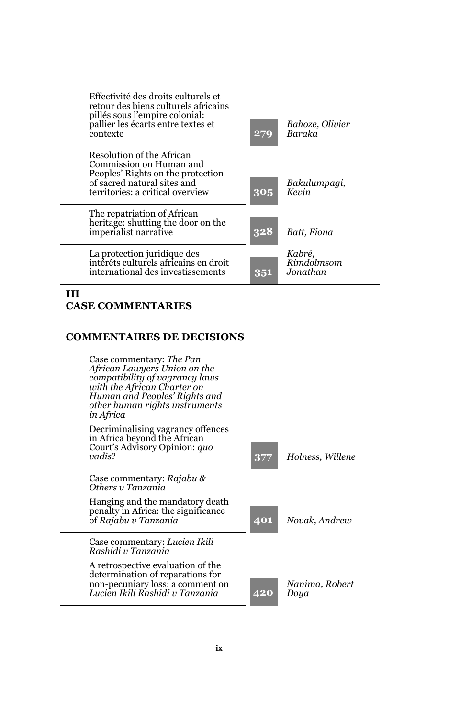

#### **III CASE COMMENTARIES**

#### **COMMENTAIRES DE DECISIONS**